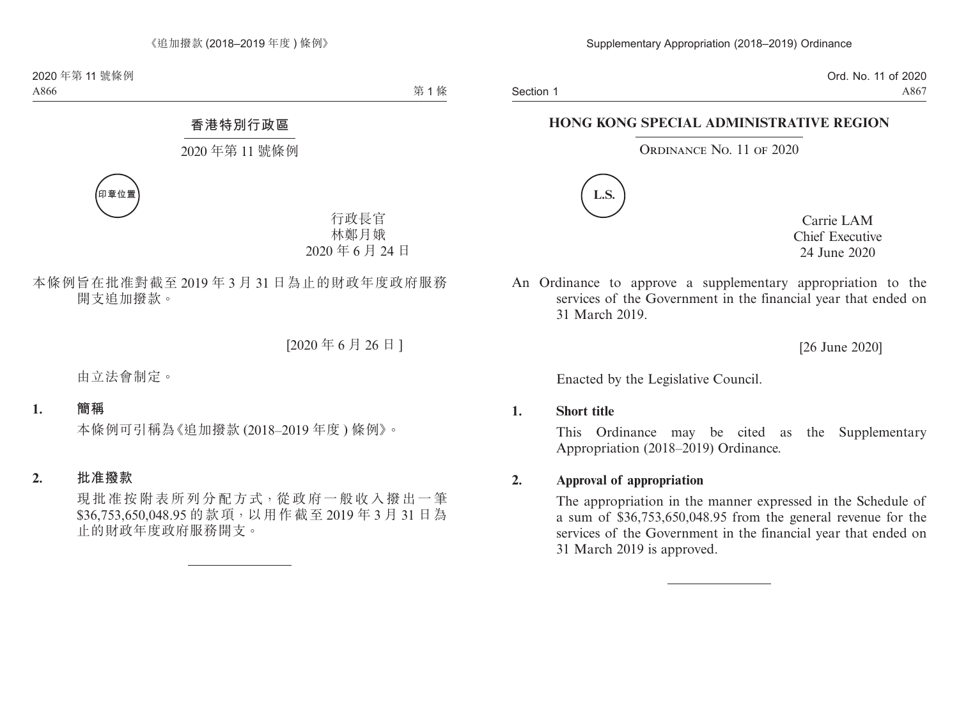Section 1

Ord. No. 11 of 2020 A867

## **HONG KONG SPECIAL ADMINISTRATIVE REGION**

#### ORDINANCE NO. 11 OF 2020



Carrie LAM Chief Executive 24 June 2020

An Ordinance to approve a supplementary appropriation to the services of the Government in the financial year that ended on 31 March 2019.

[26 June 2020]

Enacted by the Legislative Council.

#### **1. Short title**

This Ordinance may be cited as the Supplementary Appropriation (2018–2019) Ordinance.

#### **2. Approval of appropriation**

The appropriation in the manner expressed in the Schedule of a sum of \$36,753,650,048.95 from the general revenue for the services of the Government in the financial year that ended on 31 March 2019 is approved.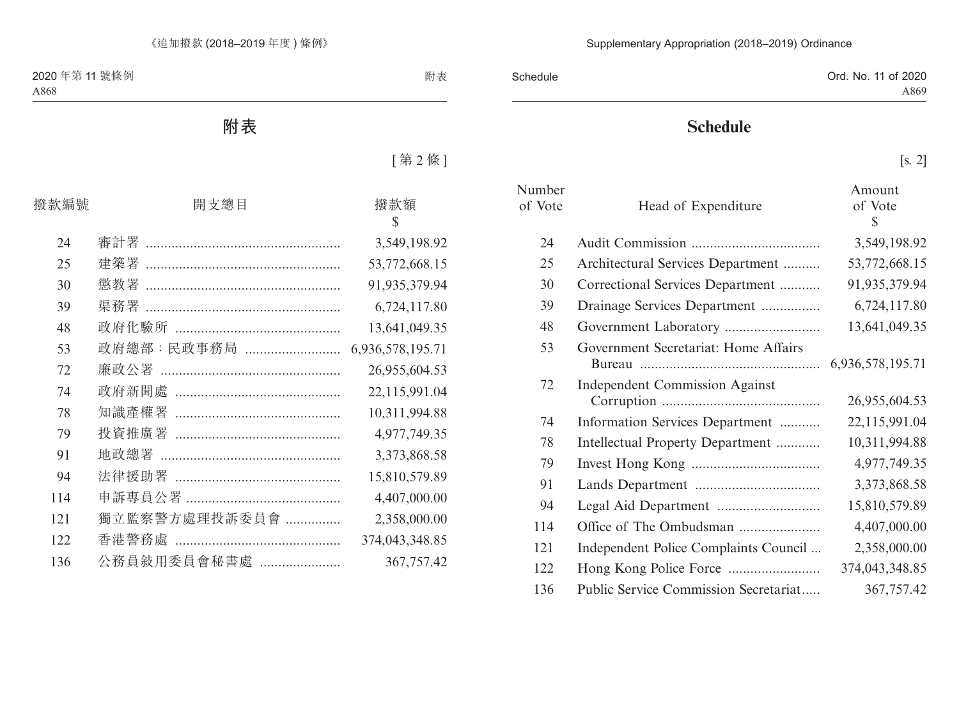| Schedule | Ord. No. 11 of 2020 |
|----------|---------------------|
|          | A869                |

# **Schedule**

[s. 2]

| Number<br>of Vote | Head of Expenditure                   | Amount<br>of Vote<br>\$ |
|-------------------|---------------------------------------|-------------------------|
| 24                |                                       | 3,549,198.92            |
| 25                | Architectural Services Department     | 53,772,668.15           |
| 30                | Correctional Services Department      | 91,935,379.94           |
| 39                | Drainage Services Department          | 6,724,117.80            |
| 48                |                                       | 13,641,049.35           |
| 53                | Government Secretariat: Home Affairs  |                         |
| 72                | <b>Independent Commission Against</b> | 26,955,604.53           |
| 74                | Information Services Department       | 22,115,991.04           |
| 78                | Intellectual Property Department      | 10,311,994.88           |
| 79                |                                       | 4,977,749.35            |
| 91                |                                       | 3,373,868.58            |
| 94                |                                       | 15,810,579.89           |
| 114               | Office of The Ombudsman               | 4,407,000.00            |
| 121               | Independent Police Complaints Council | 2,358,000.00            |
| 122               |                                       | 374,043,348.85          |
| 136               | Public Service Commission Secretariat | 367,757.42              |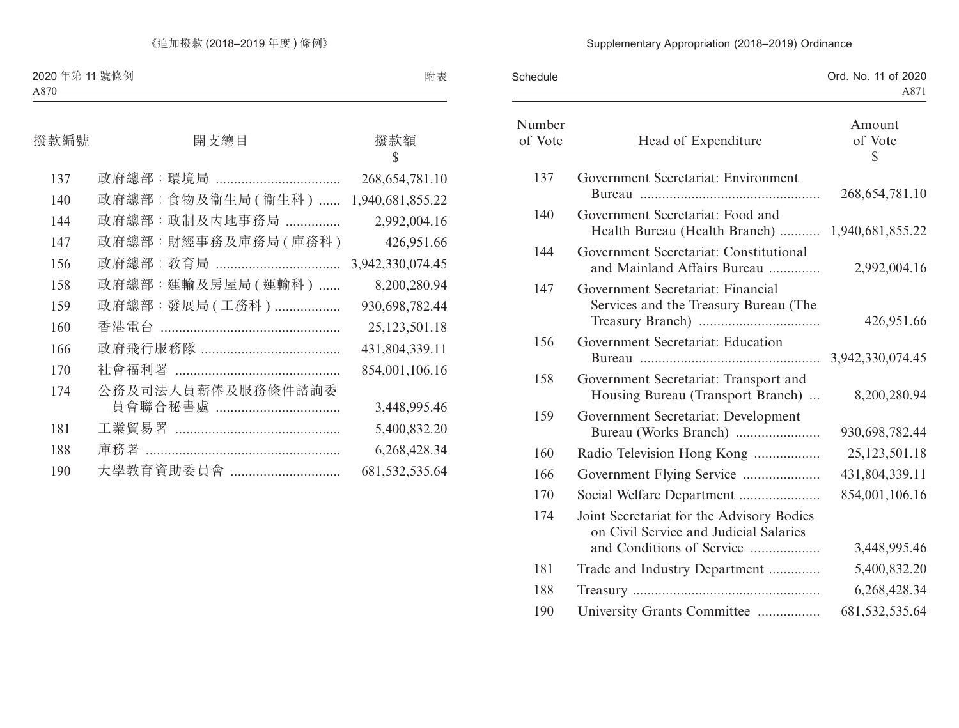## Supplementary Appropriation (2018–2019) Ordinance

| Schedule          |                                                                                                                  | Ord. No. 11 of 2020<br>A871 |
|-------------------|------------------------------------------------------------------------------------------------------------------|-----------------------------|
| Number<br>of Vote | Head of Expenditure                                                                                              | Amount<br>of Vote<br>\$     |
| 137               | Government Secretariat: Environment                                                                              | 268, 654, 781. 10           |
| 140               | Government Secretariat: Food and<br>Health Bureau (Health Branch)  1,940,681,855.22                              |                             |
| 144               | Government Secretariat: Constitutional<br>and Mainland Affairs Bureau                                            | 2,992,004.16                |
| 147               | Government Secretariat: Financial<br>Services and the Treasury Bureau (The                                       | 426,951.66                  |
| 156               | Government Secretariat: Education                                                                                |                             |
| 158               | Government Secretariat: Transport and<br>Housing Bureau (Transport Branch)                                       | 8,200,280.94                |
| 159               | Government Secretariat: Development<br>Bureau (Works Branch)                                                     | 930,698,782.44              |
| 160               | Radio Television Hong Kong                                                                                       | 25,123,501.18               |
| 166               | Government Flying Service                                                                                        | 431,804,339.11              |
| 170               | Social Welfare Department                                                                                        | 854,001,106.16              |
| 174               | Joint Secretariat for the Advisory Bodies<br>on Civil Service and Judicial Salaries<br>and Conditions of Service | 3,448,995.46                |
| 181               | Trade and Industry Department                                                                                    | 5,400,832.20                |
| 188               |                                                                                                                  | 6,268,428.34                |
| 190               | University Grants Committee                                                                                      | 681, 532, 535. 64           |